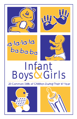







# Infant<br>Boys & Girls

20 Common Skills of Children During Their 1st Year



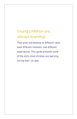## Young children are always learning.

They grow and develop at different rates, have different interests, and different experiences. This guide presents some of the skills most children are learning during their 1st year.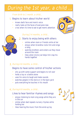## During the 1st year, a child

### From birth to 1 month, a child…

## 1. Begins to learn about his/her world

- knows dad's face and mom's voice
- really looks at the faces of everyone new
- cries when it's time to eat to get mom's attention



#### During 2-4 months, a child…

## 2. Starts to enjoy being with others

- smiles when mom or friends smile at her
- enjoys when Grandma rocks him and sings a song
- watches brothers and sisters as they move around the room
- likes when Uncle Joe helps him clap his hands together

## 3. During 4-6 months, a child…

## Begins to have some control of his/her actions

- sits up with some support and begins to roll over
- holds a toy or a bottle alone
- uses his voice to laugh and make sounds
- watches people in the store or in the back yard
- puts everything he touches in his mouth

## 4. During 6-9 months, a child…

## Likes to hear familiar rhymes and songs

- enjoys listening to mom sing songs while they are in the car
- smiles when dad repeats nursery rhymes while holding her
- likes hearing the music from the wind-up toy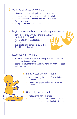## Wants to be talked to by others 5.

- likes dad to hold a book, point and name pictures •
- shows excitement when brothers and sisters talk to her •
- enjoys Grandmother holding him and talking about "When you grow up …"
- recognizes his/her name when it is called •

## 6. Begins to use hands and mouth to explore objects

- can pick up a toy with the right hand and move the toy to the left hand •
- moves a toy from hand to hand to feel its shape
- puts the toy in his mouth to taste it and feel if it is hard or soft •

## 7. Responds well to others

- knows whose voice he hears as family is entering the room •
- enjoys playing peek-a-boo •
- opens her mouth for food, and turns her head when she does not want more food •

## 8. Likes to tear and crush paper

- enjoys hearing the sound of paper being crinkled •
- likes to tear paper and throw the pieces around •

## 9. Gains physical strength

- rolls over to stomach or back •
- begins to crawl and turn around to sit up •
- can hold onto a chair and begin to stand up •

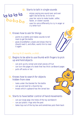## 10. Starts to talk in single sounds

## ba-ba-ba la-la-la-la

- enjoys saying one sound over and over again (ba-ba-ba-ba, la-la-la-la) •
- uses her voice to make louder, softer, faster, or slower sounds •
- uses his voice differently to cry in anger or cry when hurt •

## 11. Knows how to ask for things

- points to a bottle and makes sounds to tell mom to get the bottle •
- gives Grandfather a book and shows that he should read it, and often, wants him to read it again •

#### During 9-12 months, a child …

## 12. Begins to be able to use thumb with fingers to pick up and hold objects

- can pick up dry cereal and small pieces of fruit •
- can turn the pages of a book that has thick cardboard pages
- pulls off socks or hat

#### 13. Knows how to search for objects hidden from view

- looks under the blanket for the bottle •
- can go and look for a favorite toy
- knows which cupboard has the cereal box

## 14. Starts to have better control of hand movements

- can put large pegs into holes of the toy workbench
- can put plastic rings onto the post
- takes toys out of the toy box and sometimes puts them back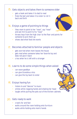## **15.** Gets objects and takes them to someone older

- gets a book and takes it to dad to read •
- finds the ball and takes it to sister to roll it back and forth •

## Enjoys a game of pointing to things 16.

- likes mom to point to her "nose", say "nose" and ask him to point to his "nose"
- throws keys from the high chair to the floor and points for someone to pick them up
- shows dad what food she wants

## 17. Becomes attached to familiar people and objects

- gets worried when mom leaves the house
- gets mad when someone takes her favorite toy and does not give it back
- cries when he is left with a stranger

## 18. Learns to do some simple things when asked

- can wave goodbye
- can give Grandma a kiss
- can give the toy back to sister

## 19. Enjoys having fun

- listens to and "dances" to music
- smiles while clapping hands and shaking her head
- laughs while pulling the pots out of the kitchen cabinets

## 20. Gets ready to walk

- crawls far and fast
- walks around the room holding onto furniture
- walks while holding onto mom's hands

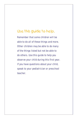## Use this guide to help.

Remember that some children will be able to do all of these things and more. Other children may be able to do many of the things listed but not be able to do others. Use this guide to help you observe your child during this first year. If you have questions about your child, speak to your pediatrician or preschool teacher.